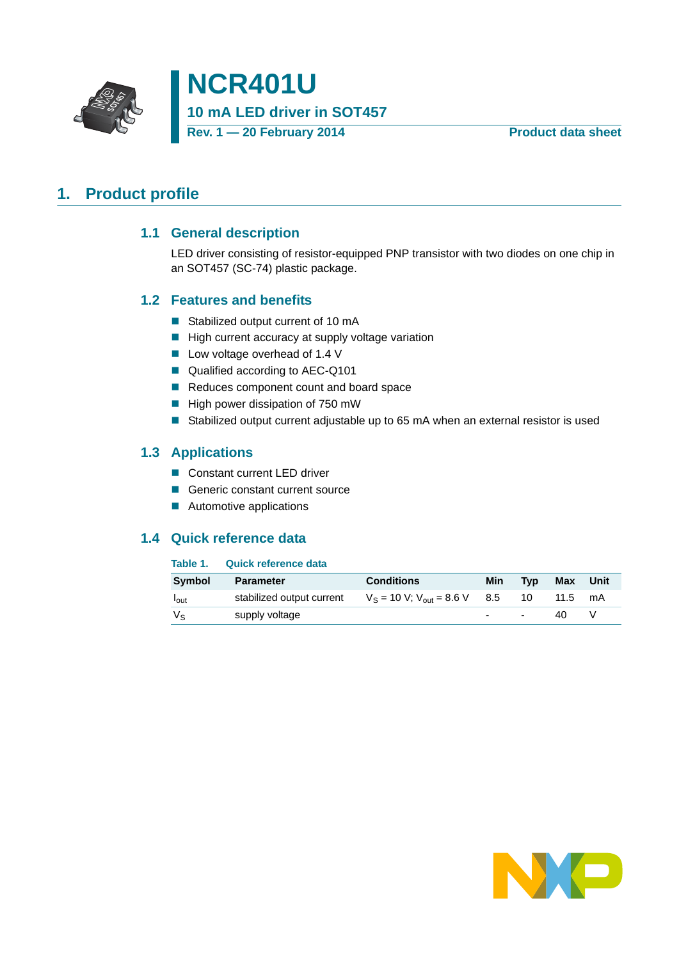

**NCR401U 10 mA LED driver in SOT457 Rev. 1 — 20 February 2014 Product data sheet**

# <span id="page-0-1"></span><span id="page-0-0"></span>**1. Product profile**

#### **1.1 General description**

LED driver consisting of resistor-equipped PNP transistor with two diodes on one chip in an SOT457 (SC-74) plastic package.

#### <span id="page-0-2"></span>**1.2 Features and benefits**

- Stabilized output current of 10 mA
- $\blacksquare$  High current accuracy at supply voltage variation
- Low voltage overhead of 1.4 V
- Qualified according to AEC-Q101
- Reduces component count and board space
- $\blacksquare$  High power dissipation of 750 mW
- Stabilized output current adjustable up to 65 mA when an external resistor is used

#### <span id="page-0-3"></span>**1.3 Applications**

- Constant current LED driver
- Generic constant current source
- **Automotive applications**

#### <span id="page-0-4"></span>**1.4 Quick reference data**

#### **Table 1. Quick reference data**

| <b>Symbol</b>           | <b>Parameter</b>          | <b>Conditions</b>                    | Min                      | <b>Tvp</b> | Max  | Unit |
|-------------------------|---------------------------|--------------------------------------|--------------------------|------------|------|------|
| <b>I</b> <sub>out</sub> | stabilized output current | $V_S = 10 V$ ; $V_{out} = 8.6 V$ 8.5 |                          | 10         | 11.5 | mA   |
| Vs                      | supply voltage            |                                      | $\overline{\phantom{a}}$ | ٠          | 40   |      |

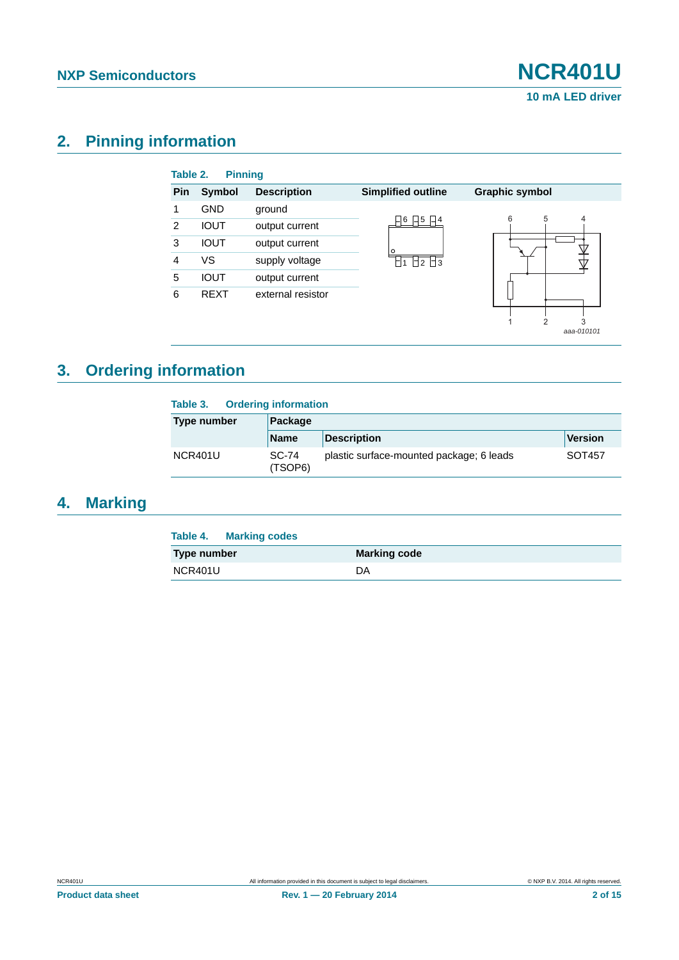*aaa-010101*

# <span id="page-1-0"></span>**2. Pinning information**

| Table 2. | <b>Pinning</b> |                    |                            |                       |
|----------|----------------|--------------------|----------------------------|-----------------------|
| Pin      | Symbol         | <b>Description</b> | <b>Simplified outline</b>  | <b>Graphic symbol</b> |
|          | <b>GND</b>     | ground             |                            |                       |
| 2        | <b>IOUT</b>    | output current     | 5<br>6<br>$ $ $ $ 4        | 5<br>6<br>4           |
| 3        | <b>IOUT</b>    | output current     | Ω                          |                       |
| 4        | VS             | supply voltage     | $\Box$ 3<br>$\overline{2}$ |                       |
| 5        | <b>IOUT</b>    | output current     |                            |                       |
| 6        | <b>REXT</b>    | external resistor  |                            |                       |
|          |                |                    |                            | 3                     |

# <span id="page-1-1"></span>**3. Ordering information**

| <b>Ordering information</b><br>Table 3. |                  |                                          |         |  |  |
|-----------------------------------------|------------------|------------------------------------------|---------|--|--|
| Type number                             | Package          |                                          |         |  |  |
|                                         | <b>Name</b>      | <b>Description</b>                       | Version |  |  |
| NCR401U                                 | SC-74<br>(TSOP6) | plastic surface-mounted package; 6 leads | SOT457  |  |  |

# <span id="page-1-2"></span>**4. Marking**

| <b>Table 4. Marking codes</b> |                     |
|-------------------------------|---------------------|
| Type number                   | <b>Marking code</b> |
| NCR401U                       | DA.                 |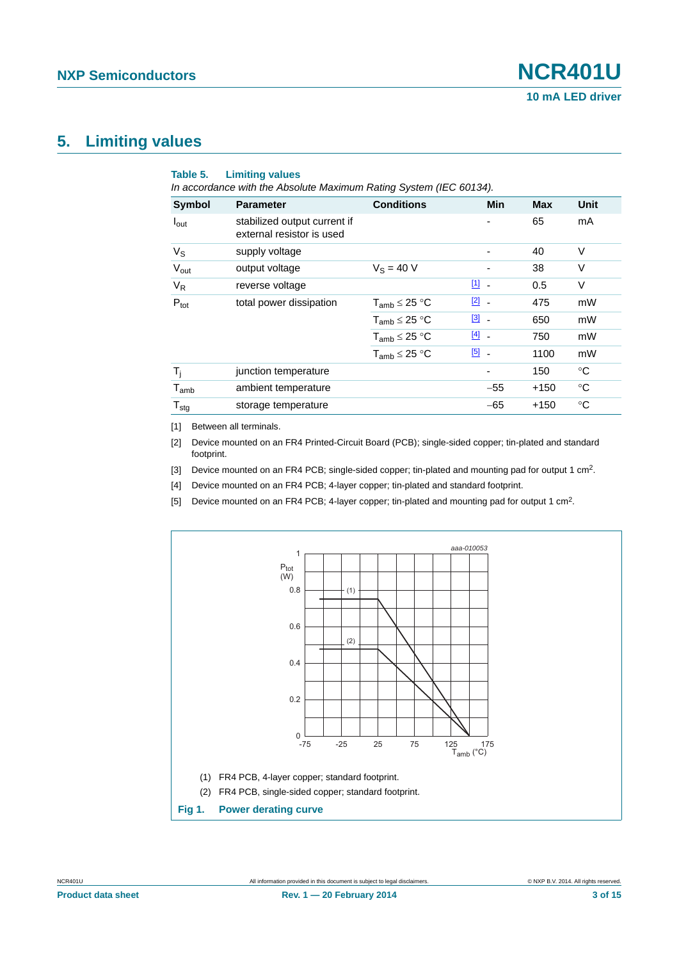### <span id="page-2-5"></span>**5. Limiting values**

| Symbol                      | <b>Parameter</b>                                          | <b>Conditions</b>    | Min                      | <b>Max</b> | Unit        |
|-----------------------------|-----------------------------------------------------------|----------------------|--------------------------|------------|-------------|
| $I_{\text{out}}$            | stabilized output current if<br>external resistor is used |                      |                          | 65         | mA          |
| $V_{\rm S}$                 | supply voltage                                            |                      | -                        | 40         | $\vee$      |
| $V_{\text{out}}$            | output voltage                                            | $V_S = 40 V$         |                          | 38         | V           |
| $V_R$                       | reverse voltage                                           |                      | $11 -$                   | 0.5        | $\vee$      |
| $P_{\text{tot}}$            | total power dissipation                                   | $T_{amb} \leq 25 °C$ | $\boxed{2}$ -            | 475        | mW          |
|                             |                                                           | $T_{amb} \leq 25 °C$ | $\boxed{3}$ -            | 650        | mW          |
|                             |                                                           | $T_{amb} \leq 25 °C$ | $[4]$ -                  | 750        | mW          |
|                             |                                                           | $T_{amb} \leq 25 °C$ | $\boxed{5}$ .            | 1100       | mW          |
| $\mathsf{T}_{\mathsf{i}}$   | junction temperature                                      |                      | $\overline{\phantom{a}}$ | 150        | °C          |
| $\mathsf{T}_{\mathsf{amb}}$ | ambient temperature                                       |                      | $-55$                    | $+150$     | $^{\circ}C$ |
| ${\mathsf T}_{\text{stg}}$  | storage temperature                                       |                      | $-65$                    | $+150$     | $^{\circ}C$ |

<span id="page-2-0"></span>[1] Between all terminals.

<span id="page-2-1"></span>[2] Device mounted on an FR4 Printed-Circuit Board (PCB); single-sided copper; tin-plated and standard footprint.

<span id="page-2-2"></span>[3] Device mounted on an FR4 PCB; single-sided copper; tin-plated and mounting pad for output 1 cm<sup>2</sup>.

<span id="page-2-3"></span>[4] Device mounted on an FR4 PCB; 4-layer copper; tin-plated and standard footprint.

<span id="page-2-4"></span>[5] Device mounted on an FR4 PCB; 4-layer copper; tin-plated and mounting pad for output 1 cm2.

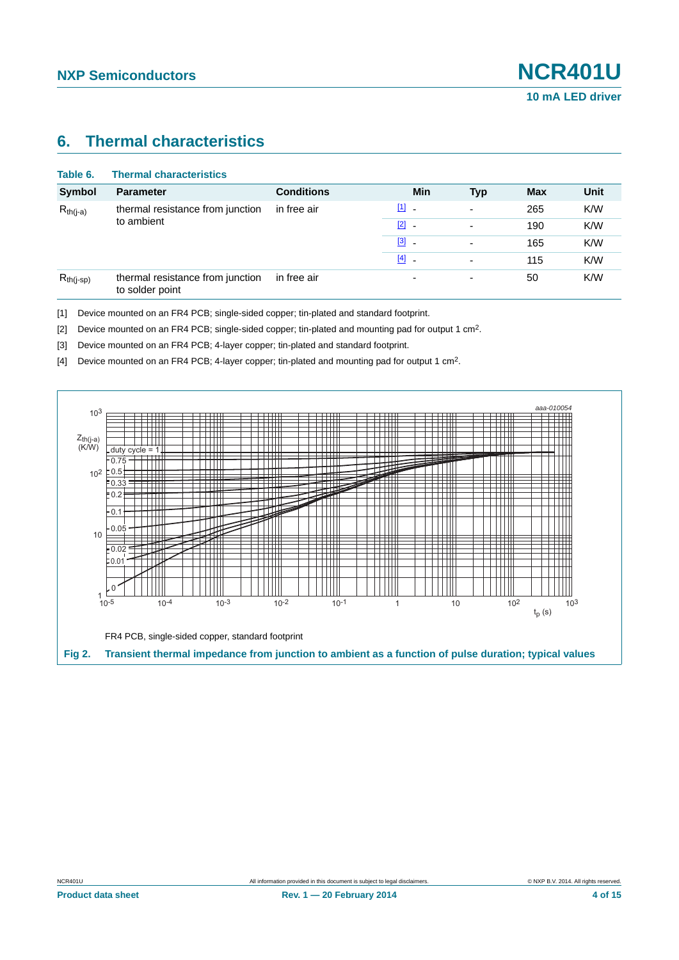### <span id="page-3-4"></span>**6. Thermal characteristics**

| Table 6.       | <b>Thermal characteristics</b>                      |                   |                          |                          |            |      |
|----------------|-----------------------------------------------------|-------------------|--------------------------|--------------------------|------------|------|
| <b>Symbol</b>  | <b>Parameter</b>                                    | <b>Conditions</b> | Min                      | <b>Typ</b>               | <b>Max</b> | Unit |
| $R_{th(j-a)}$  | thermal resistance from junction<br>to ambient      | in free air       | $[1]$ $-$                | $\overline{\phantom{0}}$ | 265        | K/W  |
|                |                                                     |                   | $\boxed{2}$ -            |                          | 190        | K/W  |
|                |                                                     |                   | $\boxed{3}$ -            | $\overline{\phantom{0}}$ | 165        | K/W  |
|                |                                                     |                   | $[4]$ -                  |                          | 115        | K/W  |
| $R_{th(j-sp)}$ | thermal resistance from junction<br>to solder point | in free air       | $\overline{\phantom{0}}$ | ٠                        | 50         | K/W  |

<span id="page-3-0"></span>[1] Device mounted on an FR4 PCB; single-sided copper; tin-plated and standard footprint.

<span id="page-3-1"></span>[2] Device mounted on an FR4 PCB; single-sided copper; tin-plated and mounting pad for output 1 cm2.

<span id="page-3-2"></span>[3] Device mounted on an FR4 PCB; 4-layer copper; tin-plated and standard footprint.

<span id="page-3-3"></span>[4] Device mounted on an FR4 PCB; 4-layer copper; tin-plated and mounting pad for output 1 cm2.

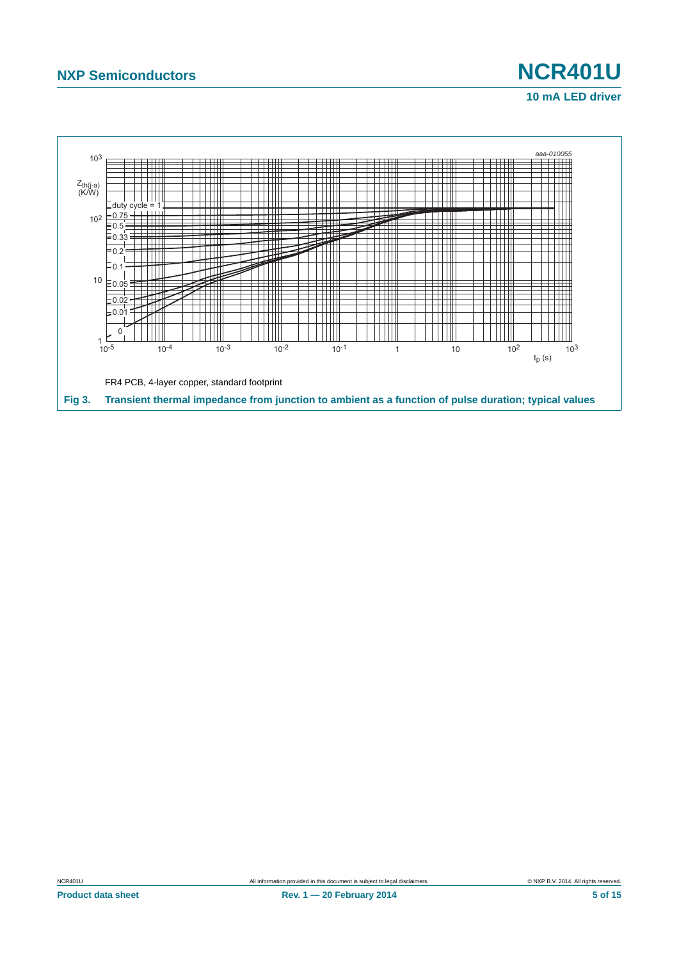

# **10 mA LED driver**

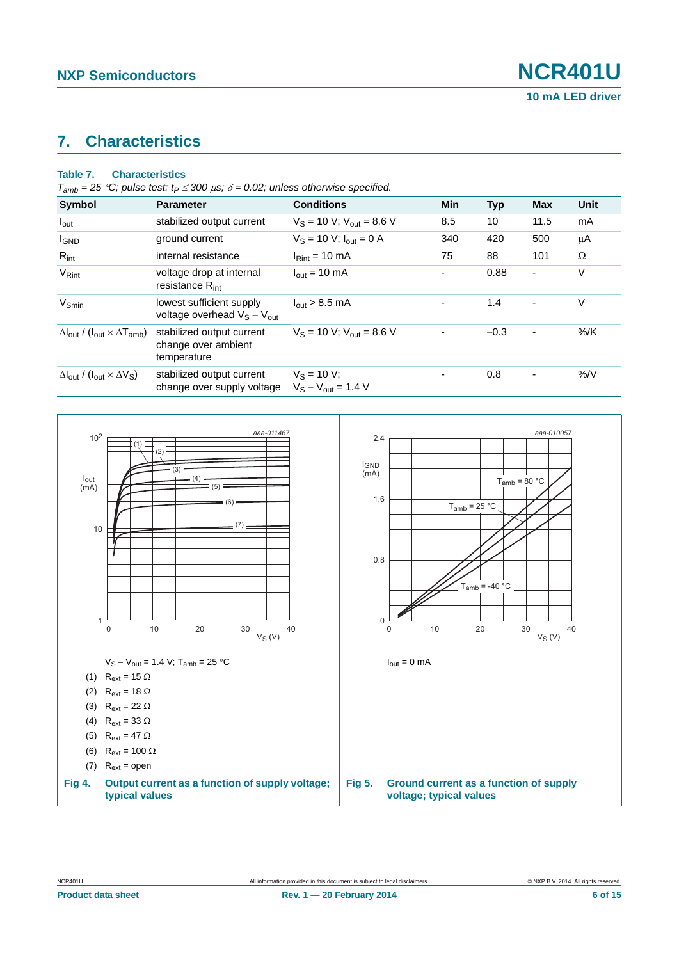### <span id="page-5-0"></span>**7. Characteristics**

#### **Table 7. Characteristics**

 $T_{amb} = 25 \degree C$ ; pulse test:  $t_P \leq 300 \ \mu s$ ;  $\delta = 0.02$ ; unless otherwise specified.

| <b>Symbol</b>                                                               | <b>Parameter</b>                                                | <b>Conditions</b>                         | <b>Min</b> | <b>Typ</b> | <b>Max</b>     | Unit   |
|-----------------------------------------------------------------------------|-----------------------------------------------------------------|-------------------------------------------|------------|------------|----------------|--------|
| $I_{\text{out}}$                                                            | stabilized output current                                       | $V_S = 10 V$ ; $V_{out} = 8.6 V$          | 8.5        | 10         | 11.5           | mA     |
| <b>I</b> GND                                                                | ground current                                                  | $V_S = 10 V$ ; $I_{out} = 0 A$            | 340        | 420        | 500            | μA     |
| $R_{int}$                                                                   | internal resistance                                             | $IRint = 10 mA$                           | 75         | 88         | 101            | Ω      |
| V <sub>Rint</sub>                                                           | voltage drop at internal<br>resistance $R_{int}$                | $I_{\text{out}} = 10 \text{ mA}$          |            | 0.88       | ٠              | V      |
| $V_{Smin}$                                                                  | lowest sufficient supply<br>voltage overhead $V_S - V_{out}$    | $I_{\text{out}}$ > 8.5 mA                 |            | 1.4        | $\blacksquare$ | V      |
| $\Delta I_{\text{out}}$ / ( $I_{\text{out}} \times \Delta T_{\text{amb}}$ ) | stabilized output current<br>change over ambient<br>temperature | $V_S = 10 V$ ; $V_{out} = 8.6 V$          |            | $-0.3$     | $\blacksquare$ | $%$ /K |
| $\Delta I_{\text{out}}$ / ( $I_{\text{out}} \times \Delta V_{\text{S}}$ )   | stabilized output current<br>change over supply voltage         | $V_S = 10 V$ ;<br>$V_S - V_{out} = 1.4 V$ |            | 0.8        | $\blacksquare$ | %N     |

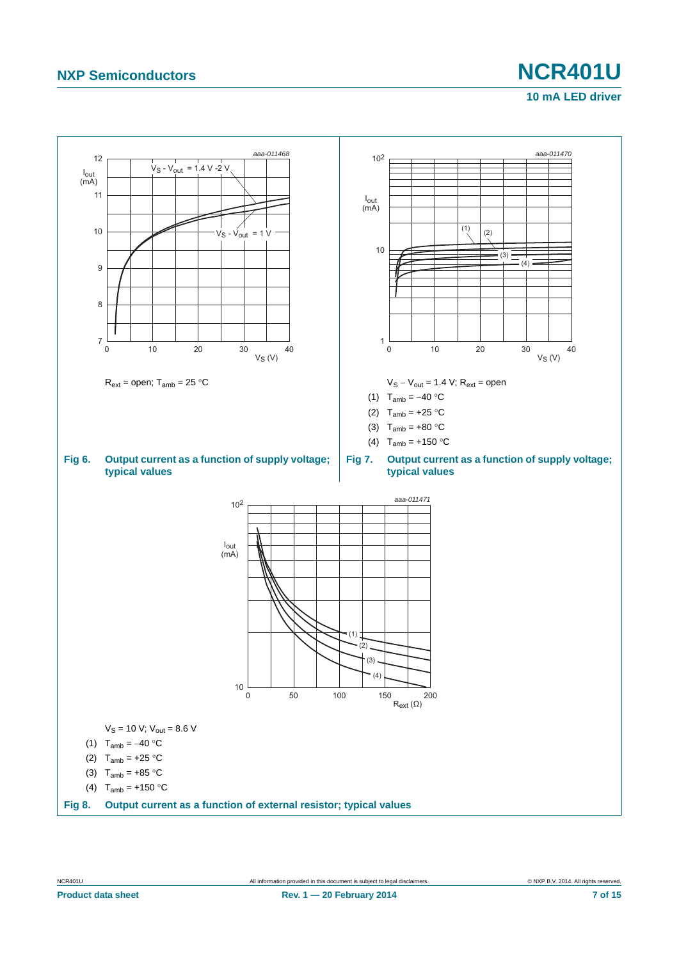# **NXP Semiconductors NCR401U**

#### **10 mA LED driver**

<span id="page-6-0"></span>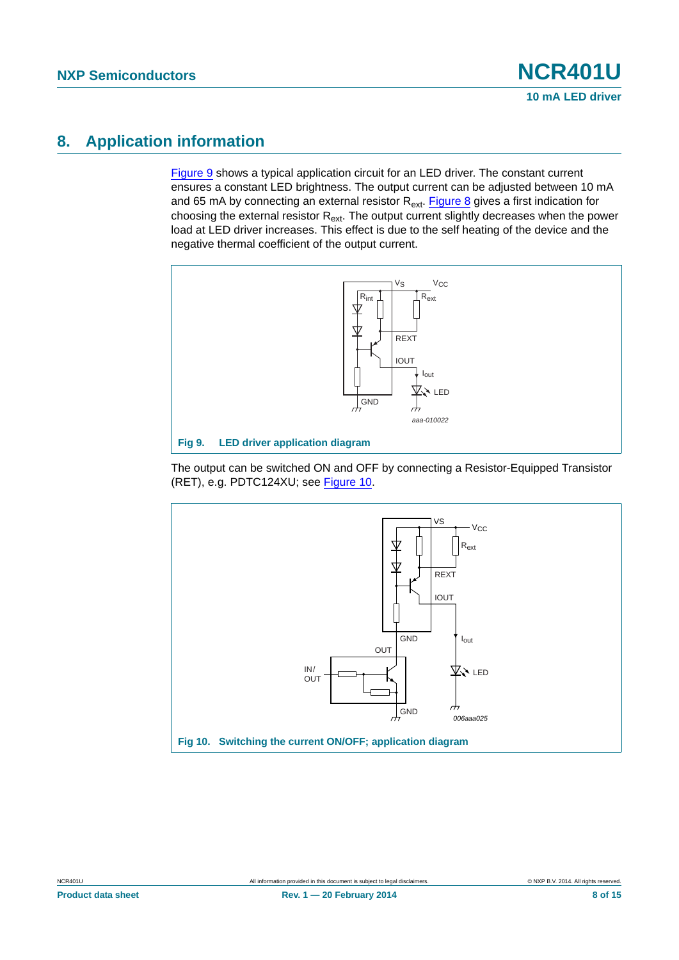# <span id="page-7-2"></span>**8. Application information**

[Figure 9](#page-7-0) shows a typical application circuit for an LED driver. The constant current ensures a constant LED brightness. The output current can be adjusted between 10 mA and 65 mA by connecting an external resistor  $R_{ext}$ . [Figure 8](#page-6-0) gives a first indication for choosing the external resistor  $R_{ext}$ . The output current slightly decreases when the power load at LED driver increases. This effect is due to the self heating of the device and the negative thermal coefficient of the output current.



<span id="page-7-0"></span>The output can be switched ON and OFF by connecting a Resistor-Equipped Transistor (RET), e.g. PDTC124XU; see [Figure 10](#page-7-1).

<span id="page-7-1"></span>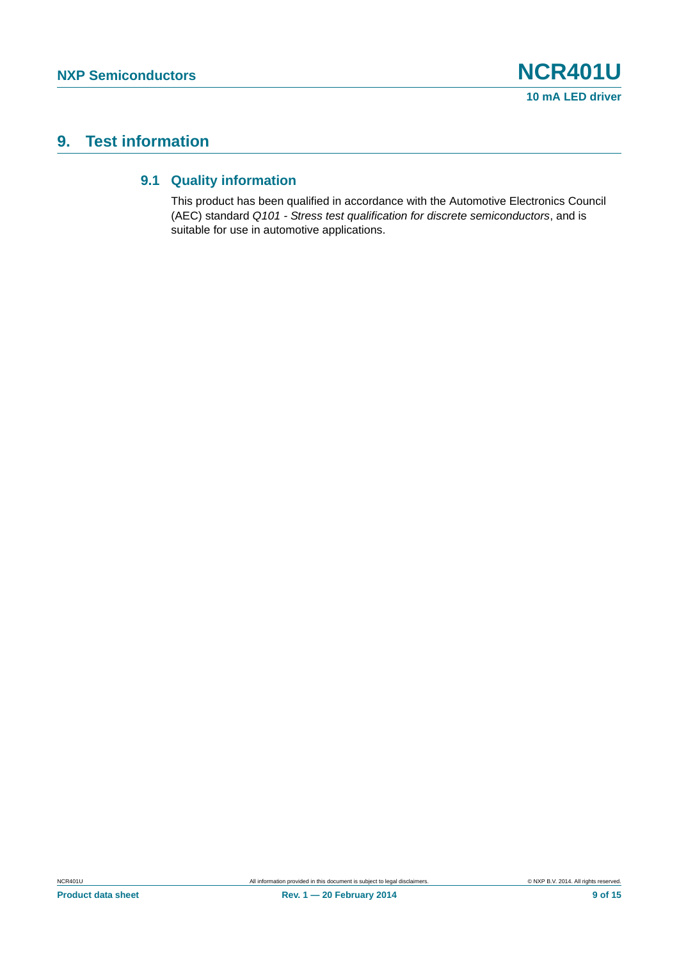# <span id="page-8-1"></span><span id="page-8-0"></span>**9. Test information**

#### **9.1 Quality information**

This product has been qualified in accordance with the Automotive Electronics Council (AEC) standard *Q101 - Stress test qualification for discrete semiconductors*, and is suitable for use in automotive applications.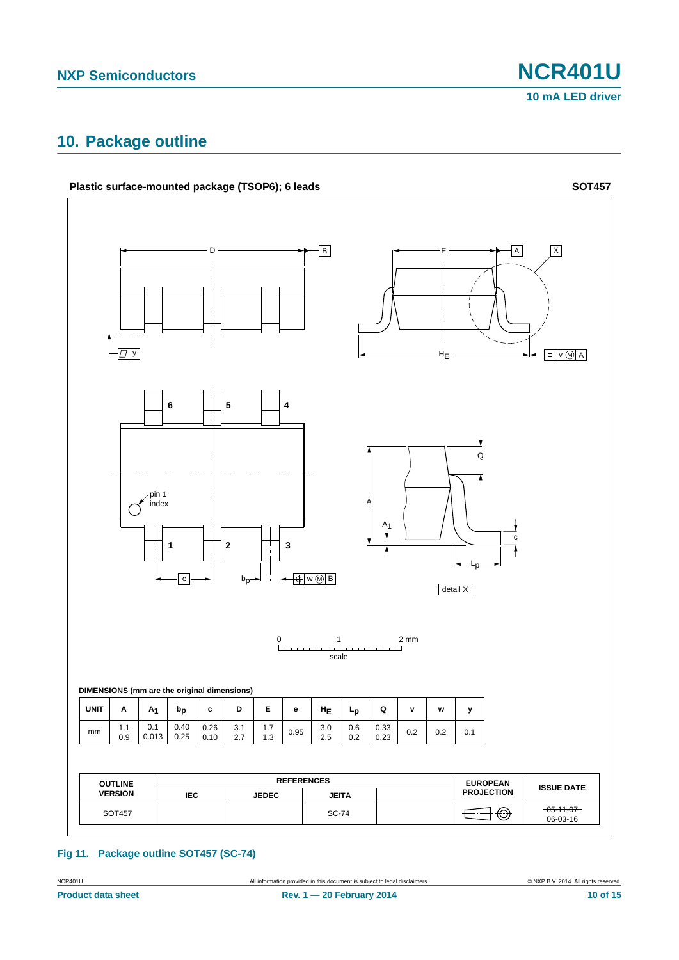# <span id="page-9-0"></span>**10. Package outline**



**Fig 11. Package outline SOT457 (SC-74)**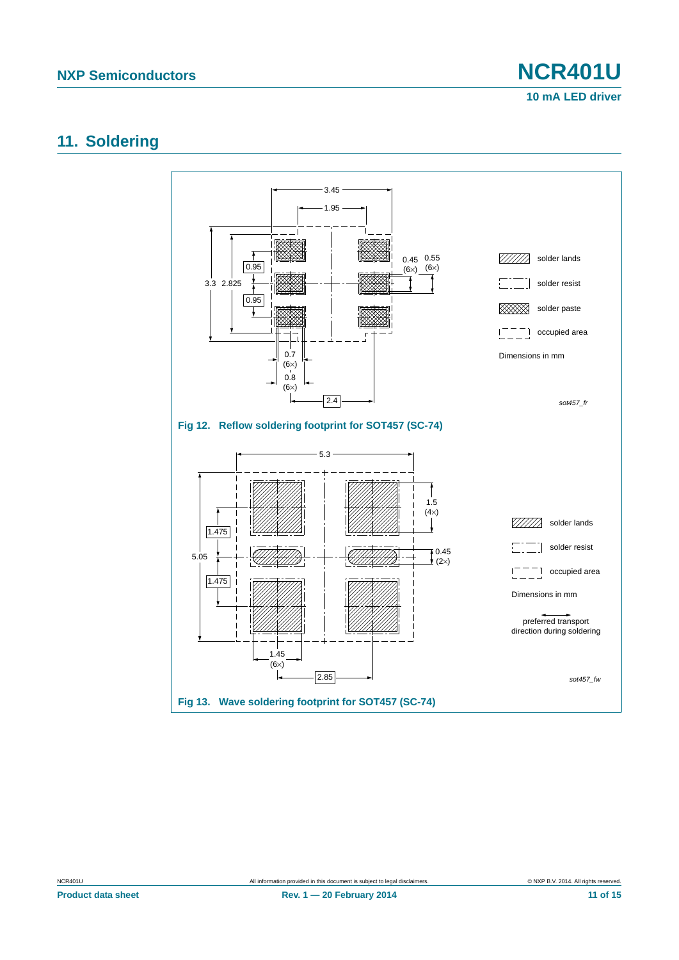**10 mA LED driver**

### <span id="page-10-0"></span>**11. Soldering**

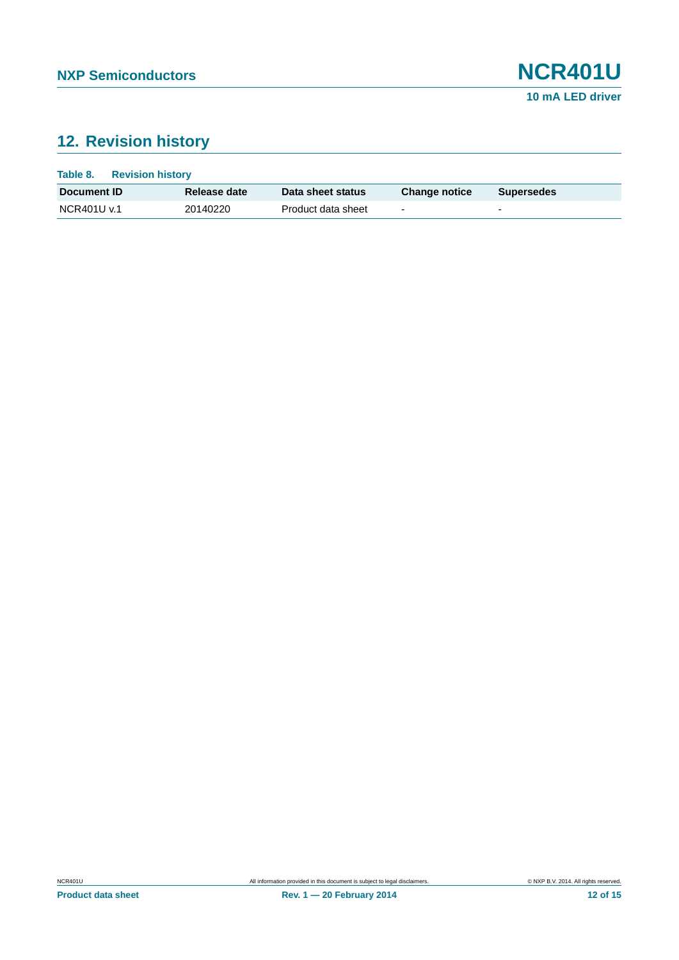# <span id="page-11-0"></span>**12. Revision history**

| Table 8.<br><b>Revision history</b> |              |                    |                          |                   |
|-------------------------------------|--------------|--------------------|--------------------------|-------------------|
| Document ID                         | Release date | Data sheet status  | <b>Change notice</b>     | <b>Supersedes</b> |
| NCR401U v.1                         | 20140220     | Product data sheet | $\overline{\phantom{0}}$ | -                 |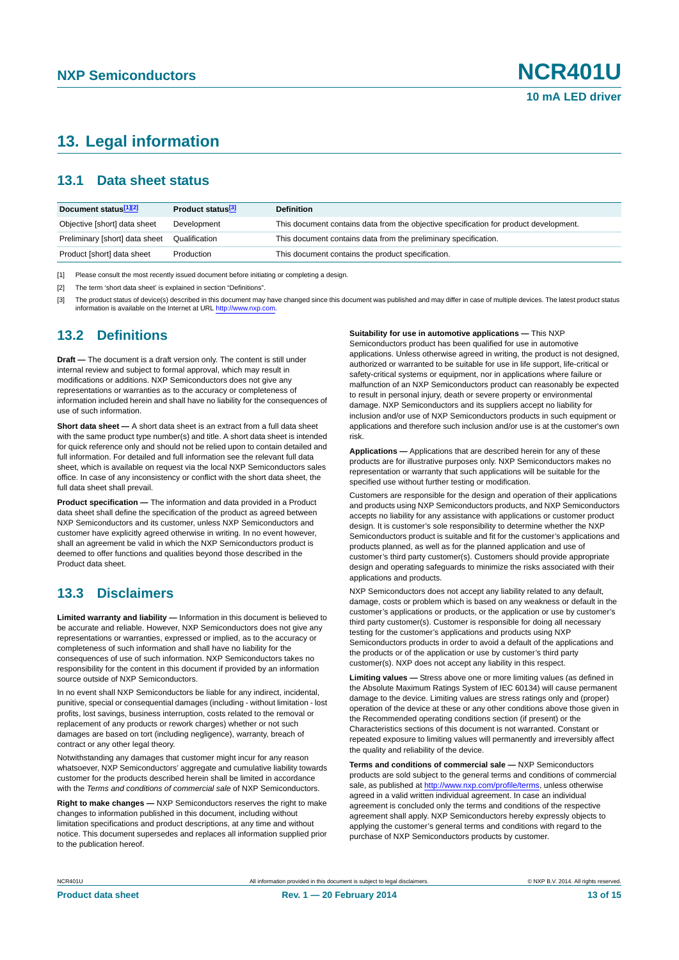# <span id="page-12-3"></span>**13. Legal information**

#### <span id="page-12-4"></span>**13.1 Data sheet status**

| Document status[1][2]          | Product status <sup>[3]</sup> | <b>Definition</b>                                                                     |
|--------------------------------|-------------------------------|---------------------------------------------------------------------------------------|
| Objective [short] data sheet   | Development                   | This document contains data from the objective specification for product development. |
| Preliminary [short] data sheet | Qualification                 | This document contains data from the preliminary specification.                       |
| Product [short] data sheet     | Production                    | This document contains the product specification.                                     |

<span id="page-12-0"></span>[1] Please consult the most recently issued document before initiating or completing a design.

<span id="page-12-1"></span>[2] The term 'short data sheet' is explained in section "Definitions".

<span id="page-12-2"></span>[3] The product status of device(s) described in this document may have changed since this document was published and may differ in case of multiple devices. The latest product status<br>information is available on the Intern

#### <span id="page-12-5"></span>**13.2 Definitions**

**Draft —** The document is a draft version only. The content is still under internal review and subject to formal approval, which may result in modifications or additions. NXP Semiconductors does not give any representations or warranties as to the accuracy or completeness of information included herein and shall have no liability for the consequences of use of such information.

**Short data sheet —** A short data sheet is an extract from a full data sheet with the same product type number(s) and title. A short data sheet is intended for quick reference only and should not be relied upon to contain detailed and full information. For detailed and full information see the relevant full data sheet, which is available on request via the local NXP Semiconductors sales office. In case of any inconsistency or conflict with the short data sheet, the full data sheet shall prevail.

**Product specification —** The information and data provided in a Product data sheet shall define the specification of the product as agreed between NXP Semiconductors and its customer, unless NXP Semiconductors and customer have explicitly agreed otherwise in writing. In no event however, shall an agreement be valid in which the NXP Semiconductors product is deemed to offer functions and qualities beyond those described in the Product data sheet.

#### <span id="page-12-6"></span>**13.3 Disclaimers**

**Limited warranty and liability —** Information in this document is believed to be accurate and reliable. However, NXP Semiconductors does not give any representations or warranties, expressed or implied, as to the accuracy or completeness of such information and shall have no liability for the consequences of use of such information. NXP Semiconductors takes no responsibility for the content in this document if provided by an information source outside of NXP Semiconductors.

In no event shall NXP Semiconductors be liable for any indirect, incidental, punitive, special or consequential damages (including - without limitation - lost profits, lost savings, business interruption, costs related to the removal or replacement of any products or rework charges) whether or not such damages are based on tort (including negligence), warranty, breach of contract or any other legal theory.

Notwithstanding any damages that customer might incur for any reason whatsoever, NXP Semiconductors' aggregate and cumulative liability towards customer for the products described herein shall be limited in accordance with the *Terms and conditions of commercial sale* of NXP Semiconductors.

**Right to make changes —** NXP Semiconductors reserves the right to make changes to information published in this document, including without limitation specifications and product descriptions, at any time and without notice. This document supersedes and replaces all information supplied prior to the publication hereof.

#### **Suitability for use in automotive applications —** This NXP

Semiconductors product has been qualified for use in automotive applications. Unless otherwise agreed in writing, the product is not designed, authorized or warranted to be suitable for use in life support, life-critical or safety-critical systems or equipment, nor in applications where failure or malfunction of an NXP Semiconductors product can reasonably be expected to result in personal injury, death or severe property or environmental damage. NXP Semiconductors and its suppliers accept no liability for inclusion and/or use of NXP Semiconductors products in such equipment or applications and therefore such inclusion and/or use is at the customer's own risk.

**Applications —** Applications that are described herein for any of these products are for illustrative purposes only. NXP Semiconductors makes no representation or warranty that such applications will be suitable for the specified use without further testing or modification.

Customers are responsible for the design and operation of their applications and products using NXP Semiconductors products, and NXP Semiconductors accepts no liability for any assistance with applications or customer product design. It is customer's sole responsibility to determine whether the NXP Semiconductors product is suitable and fit for the customer's applications and products planned, as well as for the planned application and use of customer's third party customer(s). Customers should provide appropriate design and operating safeguards to minimize the risks associated with their applications and products.

NXP Semiconductors does not accept any liability related to any default, damage, costs or problem which is based on any weakness or default in the customer's applications or products, or the application or use by customer's third party customer(s). Customer is responsible for doing all necessary testing for the customer's applications and products using NXP Semiconductors products in order to avoid a default of the applications and the products or of the application or use by customer's third party customer(s). NXP does not accept any liability in this respect.

**Limiting values —** Stress above one or more limiting values (as defined in the Absolute Maximum Ratings System of IEC 60134) will cause permanent damage to the device. Limiting values are stress ratings only and (proper) operation of the device at these or any other conditions above those given in the Recommended operating conditions section (if present) or the Characteristics sections of this document is not warranted. Constant or repeated exposure to limiting values will permanently and irreversibly affect the quality and reliability of the device.

**Terms and conditions of commercial sale —** NXP Semiconductors products are sold subject to the general terms and conditions of commercial sale, as published at<http://www.nxp.com/profile/terms>, unless otherwise agreed in a valid written individual agreement. In case an individual agreement is concluded only the terms and conditions of the respective agreement shall apply. NXP Semiconductors hereby expressly objects to applying the customer's general terms and conditions with regard to the purchase of NXP Semiconductors products by customer.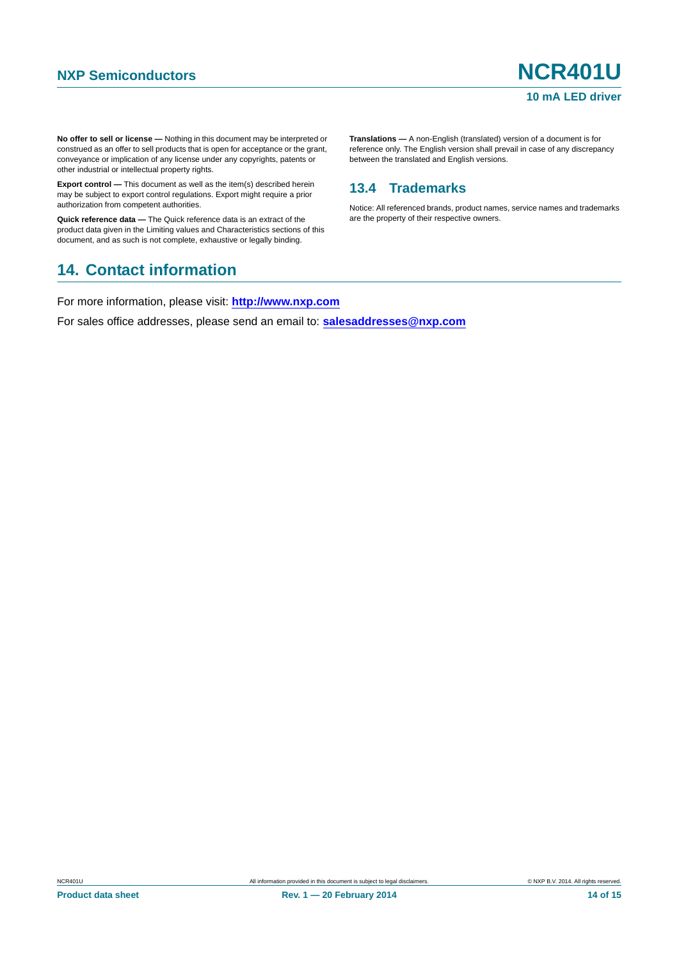**No offer to sell or license —** Nothing in this document may be interpreted or construed as an offer to sell products that is open for acceptance or the grant, conveyance or implication of any license under any copyrights, patents or other industrial or intellectual property rights.

**Export control —** This document as well as the item(s) described herein may be subject to export control regulations. Export might require a prior authorization from competent authorities.

**Quick reference data —** The Quick reference data is an extract of the product data given in the Limiting values and Characteristics sections of this document, and as such is not complete, exhaustive or legally binding.

#### <span id="page-13-1"></span>**14. Contact information**

For more information, please visit: **http://www.nxp.com**

For sales office addresses, please send an email to: **salesaddresses@nxp.com**

**Translations —** A non-English (translated) version of a document is for reference only. The English version shall prevail in case of any discrepancy between the translated and English versions.

#### <span id="page-13-0"></span>**13.4 Trademarks**

Notice: All referenced brands, product names, service names and trademarks are the property of their respective owners.